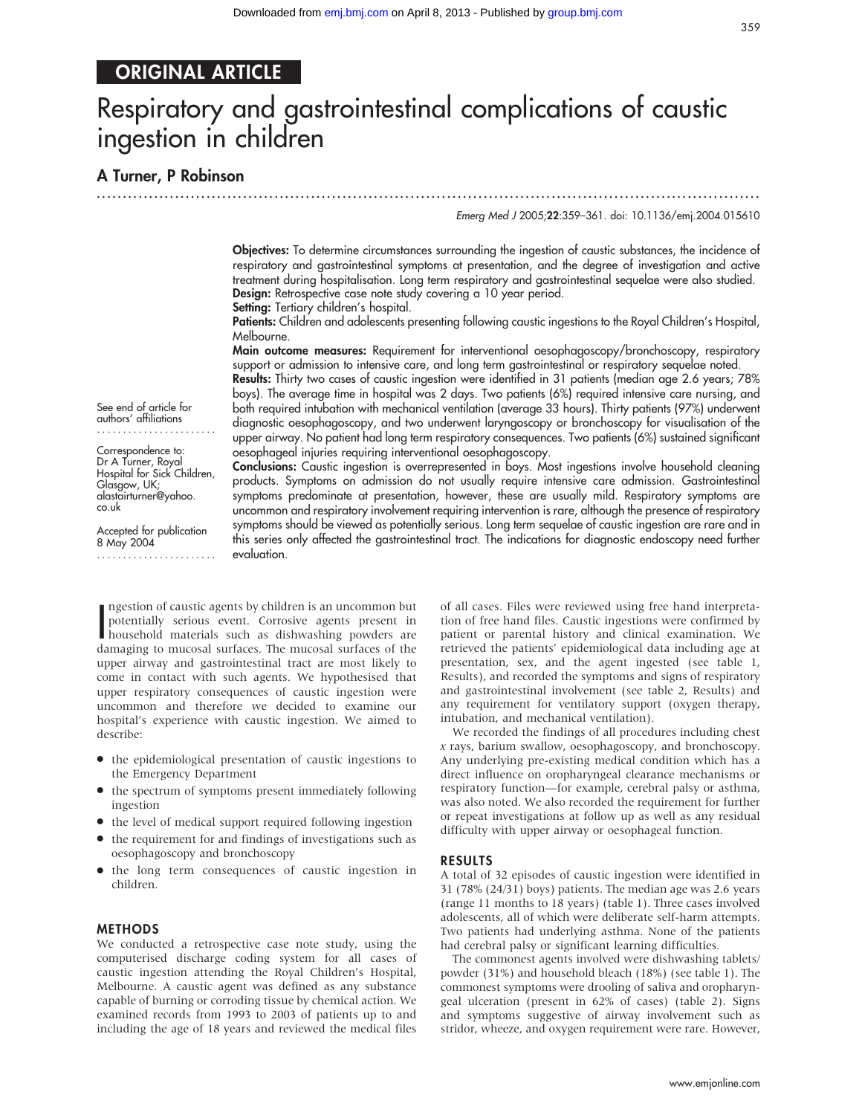# ORIGINAL ARTICLE

# Respiratory and gastrointestinal complications of caustic ingestion in children

...............................................................................................................................

A Turner, P Robinson

Emerg Med J 2005;22:359–361. doi: 10.1136/emj.2004.015610

Objectives: To determine circumstances surrounding the ingestion of caustic substances, the incidence of respiratory and gastrointestinal symptoms at presentation, and the degree of investigation and active treatment during hospitalisation. Long term respiratory and gastrointestinal sequelae were also studied. Design: Retrospective case note study covering a 10 year period.

Setting: Tertiary children's hospital.

Patients: Children and adolescents presenting following caustic ingestions to the Royal Children's Hospital, Melbourne.

Main outcome measures: Requirement for interventional oesophagoscopy/bronchoscopy, respiratory support or admission to intensive care, and long term gastrointestinal or respiratory sequelae noted.

Results: Thirty two cases of caustic ingestion were identified in 31 patients (median age 2.6 years; 78% boys). The average time in hospital was 2 days. Two patients (6%) required intensive care nursing, and both required intubation with mechanical ventilation (average 33 hours). Thirty patients (97%) underwent diagnostic oesophagoscopy, and two underwent laryngoscopy or bronchoscopy for visualisation of the upper airway. No patient had long term respiratory consequences. Two patients (6%) sustained significant oesophageal injuries requiring interventional oesophagoscopy.

Conclusions: Caustic ingestion is overrepresented in boys. Most ingestions involve household cleaning products. Symptoms on admission do not usually require intensive care admission. Gastrointestinal symptoms predominate at presentation, however, these are usually mild. Respiratory symptoms are uncommon and respiratory involvement requiring intervention is rare, although the presence of respiratory symptoms should be viewed as potentially serious. Long term sequelae of caustic ingestion are rare and in this series only affected the gastrointestinal tract. The indications for diagnostic endoscopy need further

See end of article for authors' affiliations .......................

Correspondence to: Dr A Turner, Royal Hospital for Sick Children, Glasgow, UK; alastairturner@yahoo. co.uk

Accepted for publication 8 May 2004 .......................

> of all cases. Files were reviewed using free hand interpretation of free hand files. Caustic ingestions were confirmed by patient or parental history and clinical examination. We retrieved the patients' epidemiological data including age at presentation, sex, and the agent ingested (see table 1, Results), and recorded the symptoms and signs of respiratory and gastrointestinal involvement (see table 2, Results) and any requirement for ventilatory support (oxygen therapy, intubation, and mechanical ventilation).

We recorded the findings of all procedures including chest x rays, barium swallow, oesophagoscopy, and bronchoscopy. Any underlying pre-existing medical condition which has a direct influence on oropharyngeal clearance mechanisms or respiratory function—for example, cerebral palsy or asthma, was also noted. We also recorded the requirement for further or repeat investigations at follow up as well as any residual difficulty with upper airway or oesophageal function.

## RESULTS

A total of 32 episodes of caustic ingestion were identified in 31 (78% (24/31) boys) patients. The median age was 2.6 years (range 11 months to 18 years) (table 1). Three cases involved adolescents, all of which were deliberate self-harm attempts. Two patients had underlying asthma. None of the patients had cerebral palsy or significant learning difficulties.

The commonest agents involved were dishwashing tablets/ powder (31%) and household bleach (18%) (see table 1). The commonest symptoms were drooling of saliva and oropharyngeal ulceration (present in 62% of cases) (table 2). Signs and symptoms suggestive of airway involvement such as stridor, wheeze, and oxygen requirement were rare. However,

ngestion of caustic agents by children is an uncommon but<br>potentially serious event. Corrosive agents present in<br>household materials such as dishwashing powders are<br>thousehold materials such as dishwashing powders at ha potentially serious event. Corrosive agents present in damaging to mucosal surfaces. The mucosal surfaces of the upper airway and gastrointestinal tract are most likely to come in contact with such agents. We hypothesised that upper respiratory consequences of caustic ingestion were uncommon and therefore we decided to examine our hospital's experience with caustic ingestion. We aimed to describe:

evaluation.

ngestion of caustic agents by children is an uncommon but

- $\bullet$  the epidemiological presentation of caustic ingestions to the Emergency Department
- $\bullet$  the spectrum of symptoms present immediately following ingestion
- $\bullet$  the level of medical support required following ingestion
- $\bullet$  the requirement for and findings of investigations such as oesophagoscopy and bronchoscopy
- $\bullet$  the long term consequences of caustic ingestion in children.

## **METHODS**

We conducted a retrospective case note study, using the computerised discharge coding system for all cases of caustic ingestion attending the Royal Children's Hospital, Melbourne. A caustic agent was defined as any substance capable of burning or corroding tissue by chemical action. We examined records from 1993 to 2003 of patients up to and including the age of 18 years and reviewed the medical files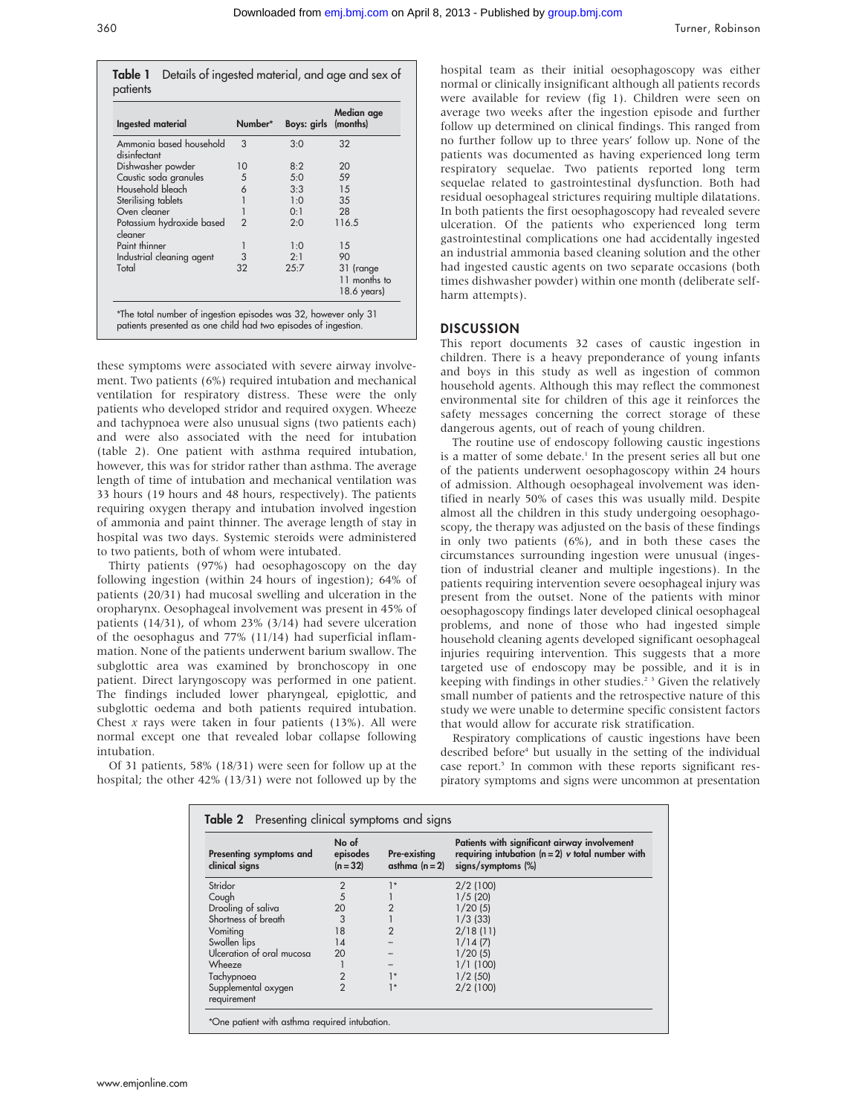Table 1 Details of ingested material, and age and sex of patients

| Ingested material                       | Number*        | Boys: girls (months) | Median age                                        |
|-----------------------------------------|----------------|----------------------|---------------------------------------------------|
| Ammonia based household<br>disinfectant | 3              | 3:0                  | 32                                                |
| Dishwasher powder                       | 10             | 8:2                  | 20                                                |
| Caustic soda granules                   | 5              | 5:0                  | 59                                                |
| Household bleach                        | 6              | 3:3                  | 15                                                |
| Sterilising tablets                     |                | 1:0                  | 35                                                |
| Oven cleaner                            |                | 0:1                  | 28                                                |
| Potassium hydroxide based<br>cleaner    | $\mathfrak{p}$ | 2:0                  | 116.5                                             |
| Paint thinner                           |                | 1:0                  | 15                                                |
| Industrial cleaning agent               | 3              | 2:1                  | 90                                                |
| Total                                   | 32             | 25:7                 | 31 (range<br>11 months to<br>$18.6 \text{ years}$ |

these symptoms were associated with severe airway involvement. Two patients (6%) required intubation and mechanical ventilation for respiratory distress. These were the only patients who developed stridor and required oxygen. Wheeze and tachypnoea were also unusual signs (two patients each) and were also associated with the need for intubation (table 2). One patient with asthma required intubation, however, this was for stridor rather than asthma. The average length of time of intubation and mechanical ventilation was 33 hours (19 hours and 48 hours, respectively). The patients requiring oxygen therapy and intubation involved ingestion of ammonia and paint thinner. The average length of stay in hospital was two days. Systemic steroids were administered to two patients, both of whom were intubated.

Thirty patients (97%) had oesophagoscopy on the day following ingestion (within 24 hours of ingestion); 64% of patients (20/31) had mucosal swelling and ulceration in the oropharynx. Oesophageal involvement was present in 45% of patients (14/31), of whom 23% (3/14) had severe ulceration of the oesophagus and 77% (11/14) had superficial inflammation. None of the patients underwent barium swallow. The subglottic area was examined by bronchoscopy in one patient. Direct laryngoscopy was performed in one patient. The findings included lower pharyngeal, epiglottic, and subglottic oedema and both patients required intubation. Chest  $x$  rays were taken in four patients (13%). All were normal except one that revealed lobar collapse following intubation.

Of 31 patients, 58% (18/31) were seen for follow up at the hospital; the other 42% (13/31) were not followed up by the hospital team as their initial oesophagoscopy was either normal or clinically insignificant although all patients records were available for review (fig 1). Children were seen on average two weeks after the ingestion episode and further follow up determined on clinical findings. This ranged from no further follow up to three years' follow up. None of the patients was documented as having experienced long term respiratory sequelae. Two patients reported long term sequelae related to gastrointestinal dysfunction. Both had residual oesophageal strictures requiring multiple dilatations. In both patients the first oesophagoscopy had revealed severe ulceration. Of the patients who experienced long term gastrointestinal complications one had accidentally ingested an industrial ammonia based cleaning solution and the other had ingested caustic agents on two separate occasions (both times dishwasher powder) within one month (deliberate selfharm attempts).

# **DISCUSSION**

This report documents 32 cases of caustic ingestion in children. There is a heavy preponderance of young infants and boys in this study as well as ingestion of common household agents. Although this may reflect the commonest environmental site for children of this age it reinforces the safety messages concerning the correct storage of these dangerous agents, out of reach of young children.

The routine use of endoscopy following caustic ingestions is a matter of some debate.<sup>1</sup> In the present series all but one of the patients underwent oesophagoscopy within 24 hours of admission. Although oesophageal involvement was identified in nearly 50% of cases this was usually mild. Despite almost all the children in this study undergoing oesophagoscopy, the therapy was adjusted on the basis of these findings in only two patients (6%), and in both these cases the circumstances surrounding ingestion were unusual (ingestion of industrial cleaner and multiple ingestions). In the patients requiring intervention severe oesophageal injury was present from the outset. None of the patients with minor oesophagoscopy findings later developed clinical oesophageal problems, and none of those who had ingested simple household cleaning agents developed significant oesophageal injuries requiring intervention. This suggests that a more targeted use of endoscopy may be possible, and it is in keeping with findings in other studies.<sup>2</sup><sup>3</sup> Given the relatively small number of patients and the retrospective nature of this study we were unable to determine specific consistent factors that would allow for accurate risk stratification.

Respiratory complications of caustic ingestions have been described before<sup>4</sup> but usually in the setting of the individual case report.<sup>5</sup> In common with these reports significant respiratory symptoms and signs were uncommon at presentation

| Presenting symptoms and<br>clinical signs | No of<br>episodes<br>$(n = 32)$ | Pre-existing<br>asthma $(n=2)$ | Patients with significant airway involvement<br>requiring intubation $(n = 2)$ v total number with<br>signs/symptoms (%) |
|-------------------------------------------|---------------------------------|--------------------------------|--------------------------------------------------------------------------------------------------------------------------|
| Stridor                                   | $\overline{2}$                  | $1*$                           | 2/2(100)                                                                                                                 |
| Cough                                     | 5                               |                                | 1/5(20)                                                                                                                  |
| Drooling of saliva                        | 20                              | $\overline{2}$                 | 1/20(5)                                                                                                                  |
| Shortness of breath                       | 3                               |                                | $1/3$ (33)                                                                                                               |
| Vomiting                                  | 18                              | $\overline{2}$                 | 2/18(11)                                                                                                                 |
| Swollen lips                              | 14                              |                                | 1/14(7)                                                                                                                  |
| Ulceration of oral mucosa                 | 20                              |                                | 1/20(5)                                                                                                                  |
| Wheeze                                    |                                 |                                | 1/1(100)                                                                                                                 |
| Tachypnoea                                | $\overline{2}$                  | $1*$                           | 1/2(50)                                                                                                                  |
| Supplemental oxygen<br>requirement        | $\mathfrak{p}$                  | $1*$                           | 2/2(100)                                                                                                                 |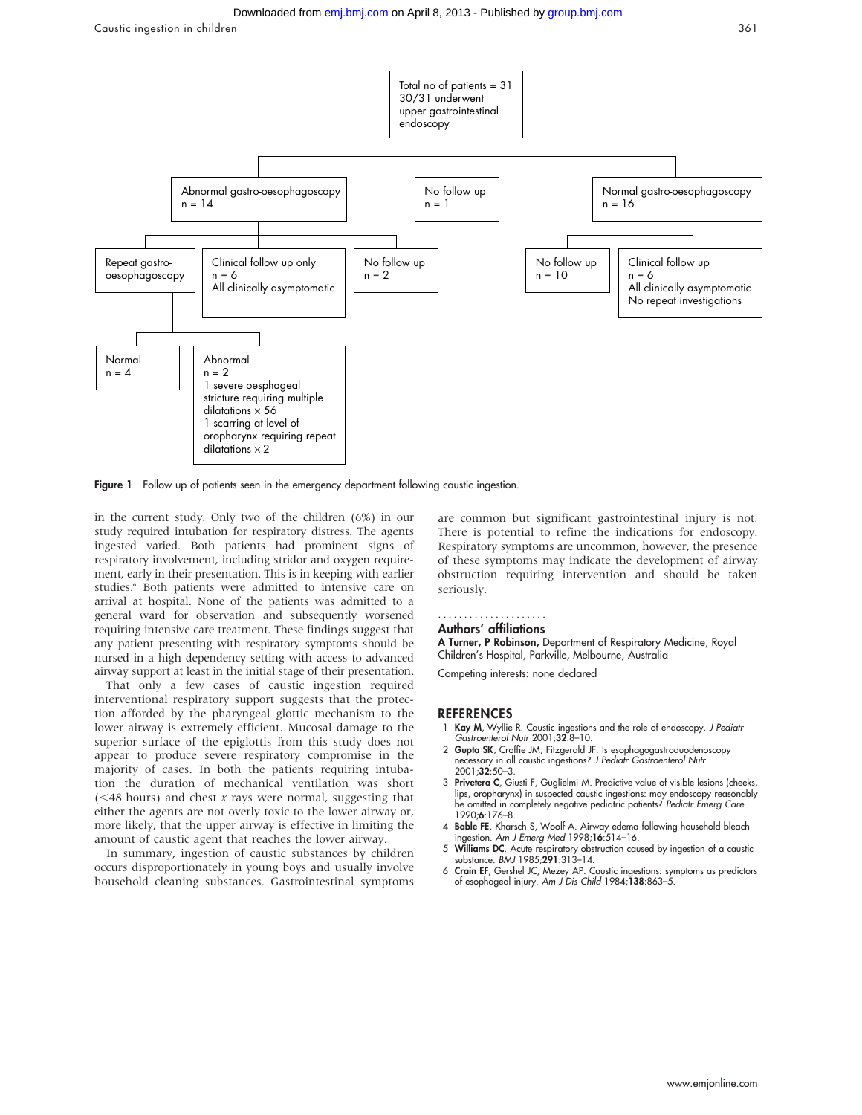

Figure 1 Follow up of patients seen in the emergency department following caustic ingestion.

in the current study. Only two of the children (6%) in our study required intubation for respiratory distress. The agents ingested varied. Both patients had prominent signs of respiratory involvement, including stridor and oxygen requirement, early in their presentation. This is in keeping with earlier studies.<sup>6</sup> Both patients were admitted to intensive care on arrival at hospital. None of the patients was admitted to a general ward for observation and subsequently worsened requiring intensive care treatment. These findings suggest that any patient presenting with respiratory symptoms should be nursed in a high dependency setting with access to advanced airway support at least in the initial stage of their presentation.

That only a few cases of caustic ingestion required interventional respiratory support suggests that the protection afforded by the pharyngeal glottic mechanism to the lower airway is extremely efficient. Mucosal damage to the superior surface of the epiglottis from this study does not appear to produce severe respiratory compromise in the majority of cases. In both the patients requiring intubation the duration of mechanical ventilation was short  $(<$  48 hours) and chest x rays were normal, suggesting that either the agents are not overly toxic to the lower airway or, more likely, that the upper airway is effective in limiting the amount of caustic agent that reaches the lower airway.

In summary, ingestion of caustic substances by children occurs disproportionately in young boys and usually involve household cleaning substances. Gastrointestinal symptoms

are common but significant gastrointestinal injury is not. There is potential to refine the indications for endoscopy. Respiratory symptoms are uncommon, however, the presence of these symptoms may indicate the development of airway obstruction requiring intervention and should be taken seriously.

#### Authors' affiliations .....................

A Turner, P Robinson, Department of Respiratory Medicine, Royal

Children's Hospital, Parkville, Melbourne, Australia

Competing interests: none declared

### **REFERENCES**

- 1 Kay M, Wyllie R. Caustic ingestions and the role of endoscopy. J Pediatr Gastroenterol Nutr 2001;32:8-10.
- 2 Gupta SK, Croffie JM, Fitzgerald JF. Is esophagogastroduodenoscopy necessary in all caustic ingestions? J Pediatr Gastroenterol Nutr 2001;32:50–3.
- 3 Privetera C, Giusti F, Guglielmi M. Predictive value of visible lesions (cheeks, lips, oropharynx) in suspected caustic ingestions: may endoscopy reasonably be omitted in completely negative pediatric patients? Pediatr Emerg Care
- 1990;6:176–8. 4 Bable FE, Kharsch S, Woolf A. Airway edema following household bleach ingestion. Am J Emerg Med 1998;16:514–16.
- 5 Williams DC. Acute respiratory obstruction caused by ingestion of a caustic substance. BMJ 1985;291:313–14.
- 6 Crain EF, Gershel JC, Mezey AP. Caustic ingestions: symptoms as predictors of esophageal injury. Am J Dis Child 1984;138:863–5.